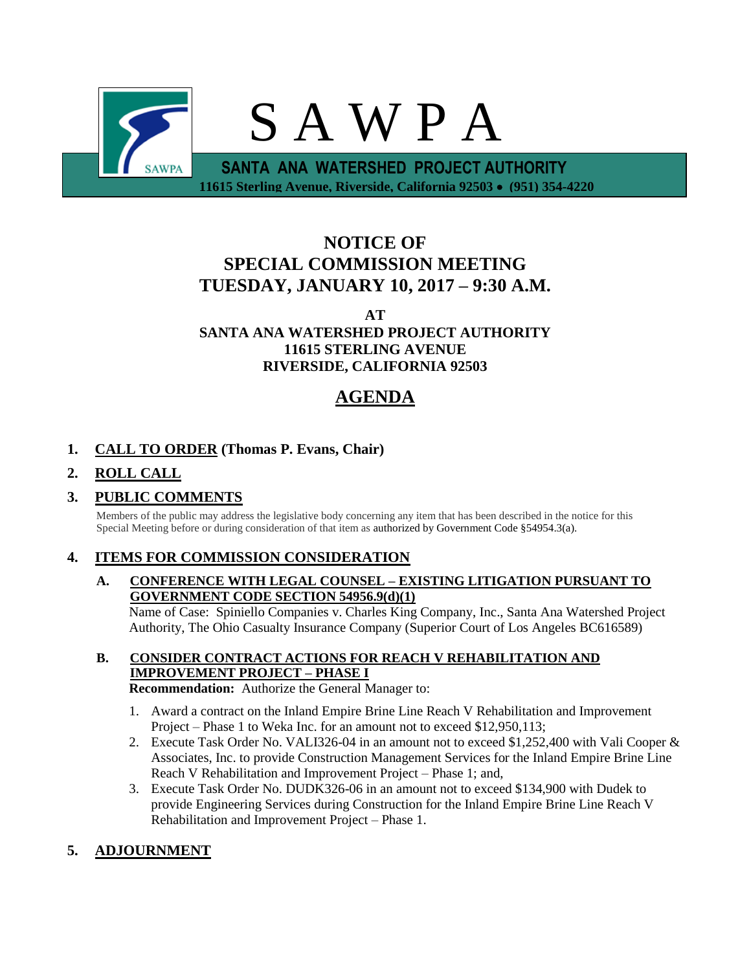

## **NOTICE OF SPECIAL COMMISSION MEETING TUESDAY, JANUARY 10, 2017 – 9:30 A.M.**

**AT**

#### **SANTA ANA WATERSHED PROJECT AUTHORITY 11615 STERLING AVENUE RIVERSIDE, CALIFORNIA 92503**

# **AGENDA**

### **1. CALL TO ORDER (Thomas P. Evans, Chair)**

### **2. ROLL CALL**

#### **3. PUBLIC COMMENTS**

Members of the public may address the legislative body concerning any item that has been described in the notice for this Special Meeting before or during consideration of that item as authorized by Government Code §54954.3(a).

#### **4. ITEMS FOR COMMISSION CONSIDERATION**

# **A. CONFERENCE WITH LEGAL COUNSEL – EXISTING LITIGATION PURSUANT TO GOVERNMENT CODE SECTION 54956.9(d)(1)**

Name of Case: Spiniello Companies v. Charles King Company, Inc., Santa Ana Watershed Project Authority, The Ohio Casualty Insurance Company (Superior Court of Los Angeles BC616589)

#### **B. CONSIDER CONTRACT ACTIONS FOR REACH V REHABILITATION AND IMPROVEMENT PROJECT – PHASE I**

**Recommendation:** Authorize the General Manager to:

- 1. Award a contract on the Inland Empire Brine Line Reach V Rehabilitation and Improvement Project – Phase 1 to Weka Inc. for an amount not to exceed \$12,950,113;
- 2. Execute Task Order No. VALI326-04 in an amount not to exceed \$1,252,400 with Vali Cooper & Associates, Inc. to provide Construction Management Services for the Inland Empire Brine Line Reach V Rehabilitation and Improvement Project – Phase 1; and,
- 3. Execute Task Order No. DUDK326-06 in an amount not to exceed \$134,900 with Dudek to provide Engineering Services during Construction for the Inland Empire Brine Line Reach V Rehabilitation and Improvement Project – Phase 1.

#### **5. ADJOURNMENT**